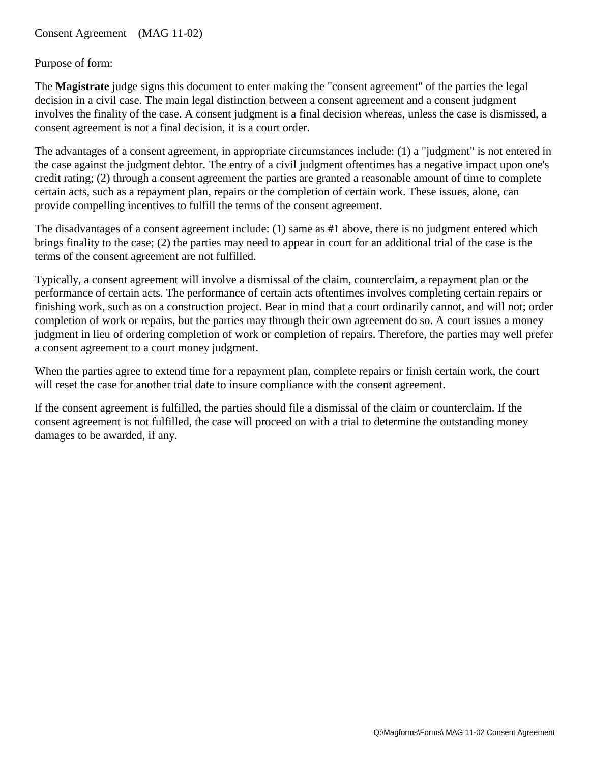## Purpose of form:

The **Magistrate** judge signs this document to enter making the "consent agreement" of the parties the legal decision in a civil case. The main legal distinction between a consent agreement and a consent judgment involves the finality of the case. A consent judgment is a final decision whereas, unless the case is dismissed, a consent agreement is not a final decision, it is a court order.

The advantages of a consent agreement, in appropriate circumstances include: (1) a "judgment" is not entered in the case against the judgment debtor. The entry of a civil judgment oftentimes has a negative impact upon one's credit rating; (2) through a consent agreement the parties are granted a reasonable amount of time to complete certain acts, such as a repayment plan, repairs or the completion of certain work. These issues, alone, can provide compelling incentives to fulfill the terms of the consent agreement.

The disadvantages of a consent agreement include: (1) same as #1 above, there is no judgment entered which brings finality to the case; (2) the parties may need to appear in court for an additional trial of the case is the terms of the consent agreement are not fulfilled.

Typically, a consent agreement will involve a dismissal of the claim, counterclaim, a repayment plan or the performance of certain acts. The performance of certain acts oftentimes involves completing certain repairs or finishing work, such as on a construction project. Bear in mind that a court ordinarily cannot, and will not; order completion of work or repairs, but the parties may through their own agreement do so. A court issues a money judgment in lieu of ordering completion of work or completion of repairs. Therefore, the parties may well prefer a consent agreement to a court money judgment.

When the parties agree to extend time for a repayment plan, complete repairs or finish certain work, the court will reset the case for another trial date to insure compliance with the consent agreement.

If the consent agreement is fulfilled, the parties should file a dismissal of the claim or counterclaim. If the consent agreement is not fulfilled, the case will proceed on with a trial to determine the outstanding money damages to be awarded, if any.